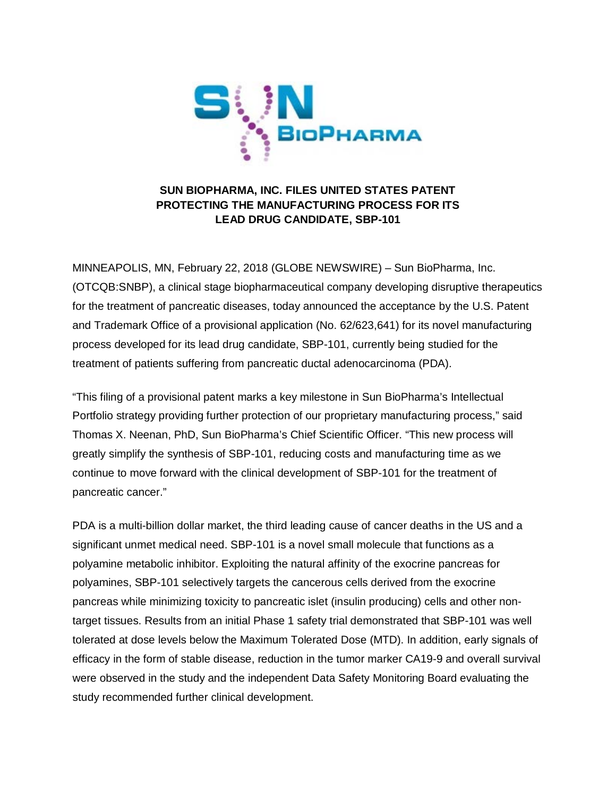

# **SUN BIOPHARMA, INC. FILES UNITED STATES PATENT PROTECTING THE MANUFACTURING PROCESS FOR ITS LEAD DRUG CANDIDATE, SBP-101**

MINNEAPOLIS, MN, February 22, 2018 (GLOBE NEWSWIRE) – Sun BioPharma, Inc. (OTCQB:SNBP), a clinical stage biopharmaceutical company developing disruptive therapeutics for the treatment of pancreatic diseases, today announced the acceptance by the U.S. Patent and Trademark Office of a provisional application (No. 62/623,641) for its novel manufacturing process developed for its lead drug candidate, SBP-101, currently being studied for the treatment of patients suffering from pancreatic ductal adenocarcinoma (PDA).

"This filing of a provisional patent marks a key milestone in Sun BioPharma's Intellectual Portfolio strategy providing further protection of our proprietary manufacturing process," said Thomas X. Neenan, PhD, Sun BioPharma's Chief Scientific Officer. "This new process will greatly simplify the synthesis of SBP-101, reducing costs and manufacturing time as we continue to move forward with the clinical development of SBP-101 for the treatment of pancreatic cancer."

PDA is a multi-billion dollar market, the third leading cause of cancer deaths in the US and a significant unmet medical need. SBP-101 is a novel small molecule that functions as a polyamine metabolic inhibitor. Exploiting the natural affinity of the exocrine pancreas for polyamines, SBP-101 selectively targets the cancerous cells derived from the exocrine pancreas while minimizing toxicity to pancreatic islet (insulin producing) cells and other nontarget tissues. Results from an initial Phase 1 safety trial demonstrated that SBP-101 was well tolerated at dose levels below the Maximum Tolerated Dose (MTD). In addition, early signals of efficacy in the form of stable disease, reduction in the tumor marker CA19-9 and overall survival were observed in the study and the independent Data Safety Monitoring Board evaluating the study recommended further clinical development.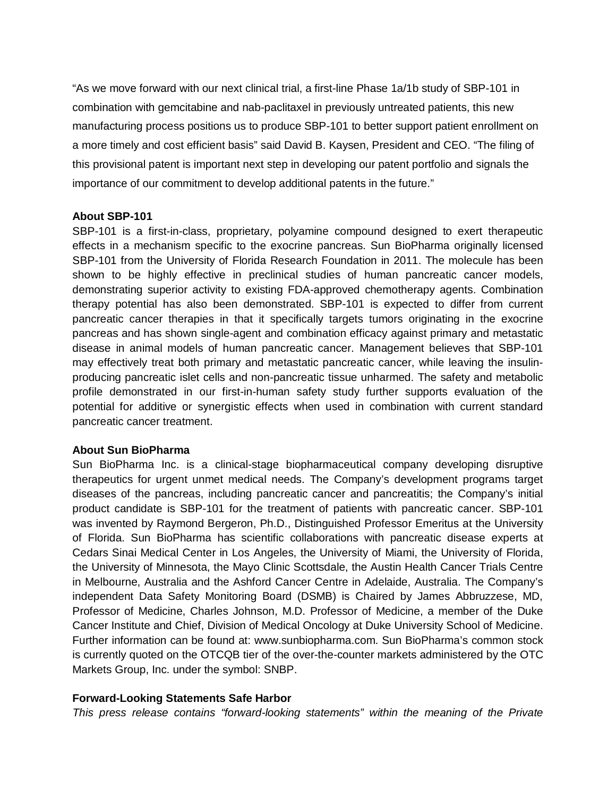"As we move forward with our next clinical trial, a first-line Phase 1a/1b study of SBP-101 in combination with gemcitabine and nab-paclitaxel in previously untreated patients, this new manufacturing process positions us to produce SBP-101 to better support patient enrollment on a more timely and cost efficient basis" said David B. Kaysen, President and CEO. "The filing of this provisional patent is important next step in developing our patent portfolio and signals the importance of our commitment to develop additional patents in the future."

## **About SBP-101**

SBP-101 is a first-in-class, proprietary, polyamine compound designed to exert therapeutic effects in a mechanism specific to the exocrine pancreas. Sun BioPharma originally licensed SBP-101 from the University of Florida Research Foundation in 2011. The molecule has been shown to be highly effective in preclinical studies of human pancreatic cancer models, demonstrating superior activity to existing FDA-approved chemotherapy agents. Combination therapy potential has also been demonstrated. SBP-101 is expected to differ from current pancreatic cancer therapies in that it specifically targets tumors originating in the exocrine pancreas and has shown single-agent and combination efficacy against primary and metastatic disease in animal models of human pancreatic cancer. Management believes that SBP-101 may effectively treat both primary and metastatic pancreatic cancer, while leaving the insulinproducing pancreatic islet cells and non-pancreatic tissue unharmed. The safety and metabolic profile demonstrated in our first-in-human safety study further supports evaluation of the potential for additive or synergistic effects when used in combination with current standard pancreatic cancer treatment.

## **About Sun BioPharma**

Sun BioPharma Inc. is a clinical-stage biopharmaceutical company developing disruptive therapeutics for urgent unmet medical needs. The Company's development programs target diseases of the pancreas, including pancreatic cancer and pancreatitis; the Company's initial product candidate is SBP-101 for the treatment of patients with pancreatic cancer. SBP-101 was invented by Raymond Bergeron, Ph.D., Distinguished Professor Emeritus at the University of Florida. Sun BioPharma has scientific collaborations with pancreatic disease experts at Cedars Sinai Medical Center in Los Angeles, the University of Miami, the University of Florida, the University of Minnesota, the Mayo Clinic Scottsdale, the Austin Health Cancer Trials Centre in Melbourne, Australia and the Ashford Cancer Centre in Adelaide, Australia. The Company's independent Data Safety Monitoring Board (DSMB) is Chaired by James Abbruzzese, MD, Professor of Medicine, Charles Johnson, M.D. Professor of Medicine, a member of the Duke Cancer Institute and Chief, Division of Medical Oncology at Duke University School of Medicine. Further information can be found at: www.sunbiopharma.com. Sun BioPharma's common stock is currently quoted on the OTCQB tier of the over-the-counter markets administered by the OTC Markets Group, Inc. under the symbol: SNBP.

## **Forward-Looking Statements Safe Harbor**

*This press release contains "forward-looking statements" within the meaning of the Private*